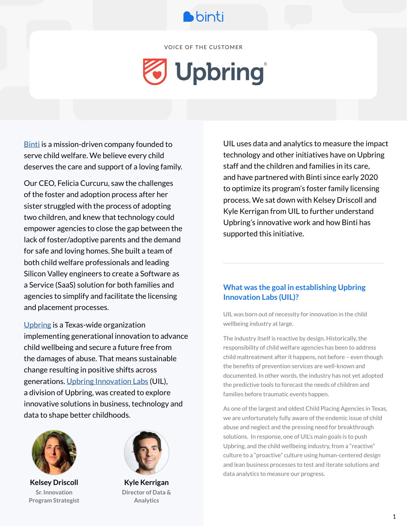

VOICE OF THE CUSTOMER

# J Upbring®

[Binti](http://binti.com) is a mission-driven company founded to serve child welfare. We believe every child deserves the care and support of a loving family.

Our CEO, Felicia Curcuru, saw the challenges of the foster and adoption process after her sister struggled with the process of adopting two children, and knew that technology could empower agencies to close the gap between the lack of foster/adoptive parents and the demand for safe and loving homes. She built a team of both child welfare professionals and leading Silicon Valley engineers to create a Software as a Service (SaaS) solution for both families and agencies to simplify and facilitate the licensing and placement processes.

[Upbring](https://upbring.org) is a Texas-wide organization implementing generational innovation to advance child wellbeing and secure a future free from the damages of abuse. That means sustainable change resulting in positive shifts across generations. [Upbring Innovation Labs](http://innovate.upbring.org) (UIL), a division of Upbring, was created to explore innovative solutions in business, technology and data to shape better childhoods.



**Kelsey Driscoll Sr. Innovation Program Strategist**



**Kyle Kerrigan Director of Data & Analytics**

UIL uses data and analytics to measure the impact technology and other initiatives have on Upbring staff and the children and families in its care, and have partnered with Binti since early 2020 to optimize its program's foster family licensing process. We sat down with Kelsey Driscoll and Kyle Kerrigan from UIL to further understand Upbring's innovative work and how Binti has supported this initiative.

#### **What was the goal in establishing Upbring Innovation Labs (UIL)?**

UIL was born out of necessity for innovation in the child wellbeing industry at large.

The industry itself is reactive by design. Historically, the responsibility of child welfare agencies has been to address child maltreatment after it happens, not before – even though the benefits of prevention services are well-known and documented. In other words, the industry has not yet adopted the predictive tools to forecast the needs of children and families before traumatic events happen.

As one of the largest and oldest Child Placing Agencies in Texas, we are unfortunately fully aware of the endemic issue of child abuse and neglect and the pressing need for breakthrough solutions. In response, one of UIL's main goals is to push Upbring, and the child wellbeing industry, from a "reactive" culture to a "proactive" culture using human-centered design and lean business processes to test and iterate solutions and data analytics to measure our progress.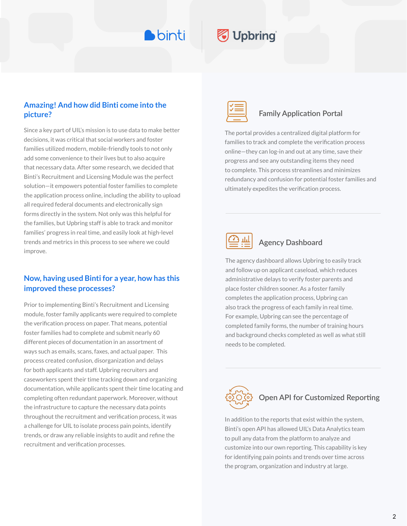**D**binti

## Upbring

#### **Amazing! And how did Binti come into the picture?**

Since a key part of UIL's mission is to use data to make better decisions, it was critical that social workers and foster families utilized modern, mobile-friendly tools to not only add some convenience to their lives but to also acquire that necessary data. After some research, we decided that Binti's Recruitment and Licensing Module was the perfect solution—it empowers potential foster families to complete the application process online, including the ability to upload all required federal documents and electronically sign forms directly in the system. Not only was this helpful for the families, but Upbring staff is able to track and monitor families' progress in real time, and easily look at high-level trends and metrics in this process to see where we could improve.

#### **Now, having used Binti for a year, how has this improved these processes?**

Prior to implementing Binti's Recruitment and Licensing module, foster family applicants were required to complete the verification process on paper. That means, potential foster families had to complete and submit nearly 60 different pieces of documentation in an assortment of ways such as emails, scans, faxes, and actual paper. This process created confusion, disorganization and delays for both applicants and staff. Upbring recruiters and caseworkers spent their time tracking down and organizing documentation, while applicants spent their time locating and completing often redundant paperwork. Moreover, without the infrastructure to capture the necessary data points throughout the recruitment and verification process, it was a challenge for UIL to isolate process pain points, identify trends, or draw any reliable insights to audit and refine the recruitment and verification processes.



#### **Family Application Portal**

The portal provides a centralized digital platform for families to track and complete the verification process online—they can log-in and out at any time, save their progress and see any outstanding items they need to complete. This process streamlines and minimizes redundancy and confusion for potential foster families and ultimately expedites the verification process.



#### **Agency Dashboard**

The agency dashboard allows Upbring to easily track and follow up on applicant caseload, which reduces administrative delays to verify foster parents and place foster children sooner. As a foster family completes the application process, Upbring can also track the progress of each family in real time. For example, Upbring can see the percentage of completed family forms, the number of training hours and background checks completed as well as what still needs to be completed.



#### **Open API for Customized Reporting**

In addition to the reports that exist within the system, Binti's open API has allowed UIL's Data Analytics team to pull any data from the platform to analyze and customize into our own reporting. This capability is key for identifying pain points and trends over time across the program, organization and industry at large.